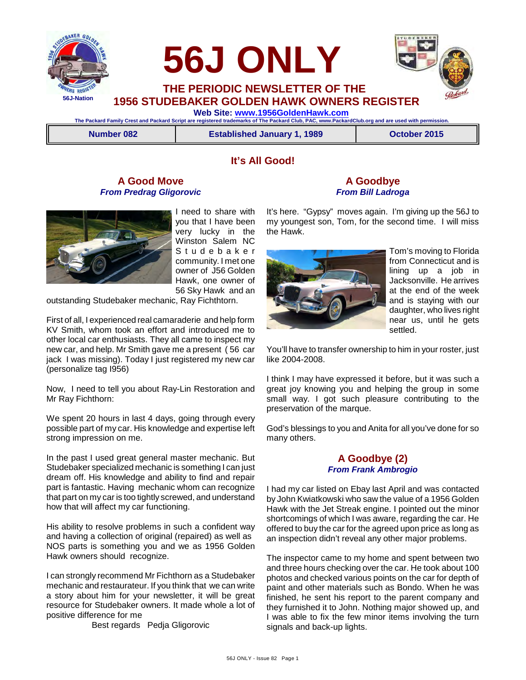



 **THE PERIODIC NEWSLETTER OF THE 1956 STUDEBAKER GOLDEN HAWK OWNERS REGISTER**

 **56J ONLY**

 **Web Site: [www.1956GoldenHawk.com](http://www.1956GoldenHawk.com) The Packard Family Crest and Packard Script are registered trademarks of The Packard Club, PAC, www.PackardClub.org and are used with permission.** 

**Number 082 Established January 1, 1989 October 2015**

## **It's All Good!**

## **A Good Move** *From Predrag Gligorovic*

## **A Goodbye** *From Bill Ladroga*



I need to share with you that I have been very lucky in the Winston Salem NC S t u d e b a k e r community. I met one owner of J56 Golden Hawk, one owner of 56 Sky Hawk and an

outstanding Studebaker mechanic, Ray Fichthtorn.

First of all, I experienced real camaraderie and help form KV Smith, whom took an effort and introduced me to other local car enthusiasts. They all came to inspect my new car, and help. Mr Smith gave me a present ( 56 car jack I was missing). Today I just registered my new car (personalize tag I956)

Now, I need to tell you about Ray-Lin Restoration and Mr Ray Fichthorn:

We spent 20 hours in last 4 days, going through every possible part of my car. His knowledge and expertise left strong impression on me.

In the past I used great general master mechanic. But Studebaker specialized mechanic is something I can just dream off. His knowledge and ability to find and repair part is fantastic. Having mechanic whom can recognize that part on my car is too tightly screwed, and understand how that will affect my car functioning.

His ability to resolve problems in such a confident way and having a collection of original (repaired) as well as NOS parts is something you and we as 1956 Golden Hawk owners should recognize.

I can strongly recommend Mr Fichthorn as a Studebaker mechanic and restaurateur. If you think that we can write a story about him for your newsletter, it will be great resource for Studebaker owners. It made whole a lot of positive difference for me

Best regards Pedja Gligorovic

It's here. "Gypsy" moves again. I'm giving up the 56J to my youngest son, Tom, for the second time. I will miss the Hawk.



Tom's moving to Florida from Connecticut and is lining up a job in Jacksonville. He arrives at the end of the week and is staying with our daughter, who lives right near us, until he gets settled.

You'll have to transfer ownership to him in your roster, just like 2004-2008.

I think I may have expressed it before, but it was such a great joy knowing you and helping the group in some small way. I got such pleasure contributing to the preservation of the marque.

God's blessings to you and Anita for all you've done for so many others.

## **A Goodbye (2)** *From Frank Ambrogio*

I had my car listed on Ebay last April and was contacted by John Kwiatkowski who saw the value of a 1956 Golden Hawk with the Jet Streak engine. I pointed out the minor shortcomings of which I was aware, regarding the car. He offered to buy the car for the agreed upon price as long as an inspection didn't reveal any other major problems.

The inspector came to my home and spent between two and three hours checking over the car. He took about 100 photos and checked various points on the car for depth of paint and other materials such as Bondo. When he was finished, he sent his report to the parent company and they furnished it to John. Nothing major showed up, and I was able to fix the few minor items involving the turn signals and back-up lights.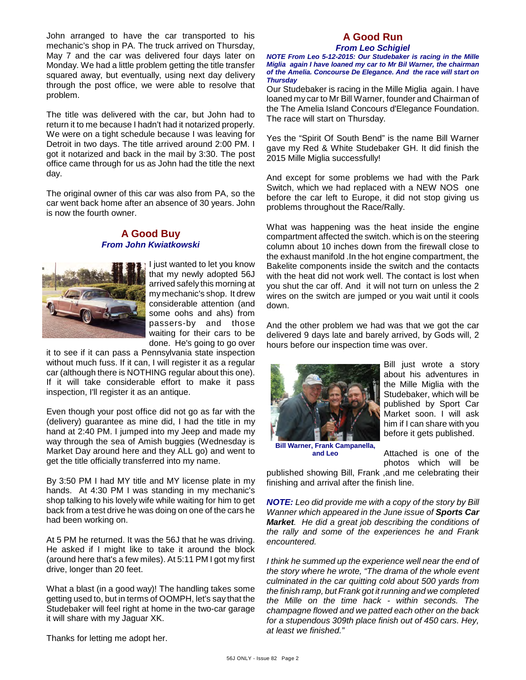John arranged to have the car transported to his mechanic's shop in PA. The truck arrived on Thursday, May 7 and the car was delivered four days later on Monday. We had a little problem getting the title transfer squared away, but eventually, using next day delivery through the post office, we were able to resolve that problem.

The title was delivered with the car, but John had to return it to me because I hadn't had it notarized properly. We were on a tight schedule because I was leaving for Detroit in two days. The title arrived around 2:00 PM. I got it notarized and back in the mail by 3:30. The post office came through for us as John had the title the next day.

The original owner of this car was also from PA, so the car went back home after an absence of 30 years. John is now the fourth owner.

### **A Good Buy** *From John Kwiatkowski*



I just wanted to let you know that my newly adopted 56J arrived safely this morning at my mechanic's shop. It drew considerable attention (and some oohs and ahs) from passers-by and those waiting for their cars to be done. He's going to go over

it to see if it can pass a Pennsylvania state inspection without much fuss. If it can, I will register it as a regular car (although there is NOTHING regular about this one). If it will take considerable effort to make it pass inspection, I'll register it as an antique.

Even though your post office did not go as far with the (delivery) guarantee as mine did, I had the title in my hand at 2:40 PM. I jumped into my Jeep and made my way through the sea of Amish buggies (Wednesday is Market Day around here and they ALL go) and went to get the title officially transferred into my name.

By 3:50 PM I had MY title and MY license plate in my hands. At 4:30 PM I was standing in my mechanic's shop talking to his lovely wife while waiting for him to get back from a test drive he was doing on one of the cars he had been working on.

At 5 PM he returned. It was the 56J that he was driving. He asked if I might like to take it around the block (around here that's a few miles). At 5:11 PM I got my first drive, longer than 20 feet.

What a blast (in a good way)! The handling takes some getting used to, but in terms of OOMPH, let's say that the Studebaker will feel right at home in the two-car garage it will share with my Jaguar XK.

#### **A Good Run** *From Leo Schigiel*

*NOTE From Leo 5-12-2015: Our Studebaker is racing in the Mille Miglia again I have loaned my car to Mr Bil Warner, the chairman of the Amelia. Concourse De Elegance. And the race will start on Thursday* 

Our Studebaker is racing in the Mille Miglia again. I have loaned my car to Mr Bill Warner, founder and Chairman of the The Amelia Island Concours d'Elegance Foundation. The race will start on Thursday.

Yes the "Spirit Of South Bend" is the name Bill Warner gave my Red & White Studebaker GH. It did finish the 2015 Mille Miglia successfully!

And except for some problems we had with the Park Switch, which we had replaced with a NEW NOS one before the car left to Europe, it did not stop giving us problems throughout the Race/Rally.

What was happening was the heat inside the engine compartment affected the switch. which is on the steering column about 10 inches down from the firewall close to the exhaust manifold .In the hot engine compartment, the Bakelite components inside the switch and the contacts with the heat did not work well. The contact is lost when you shut the car off. And it will not turn on unless the 2 wires on the switch are jumped or you wait until it cools down.

And the other problem we had was that we got the car delivered 9 days late and barely arrived, by Gods will, 2 hours before our inspection time was over.



**Bill Warner, Frank Campanella, and Leo**

Bill just wrote a story about his adventures in the Mille Miglia with the Studebaker, which will be published by Sport Car Market soon. I will ask him if I can share with you before it gets published.

Attached is one of the photos which will be

published showing Bill, Frank ,and me celebrating their finishing and arrival after the finish line.

*NOTE: Leo did provide me with a copy of the story by Bill Wanner which appeared in the June issue of Sports Car Market. He did a great job describing the conditions of the rally and some of the experiences he and Frank encountered.*

*I think he summed up the experience well near the end of the story where he wrote, "The drama of the whole event culminated in the car quitting cold about 500 yards from the finish ramp, but Frank got it running and we completed the Mille on the time hack - within seconds. The champagne flowed and we patted each other on the back for a stupendous 309th place finish out of 450 cars. Hey, at least we finished."*

Thanks for letting me adopt her.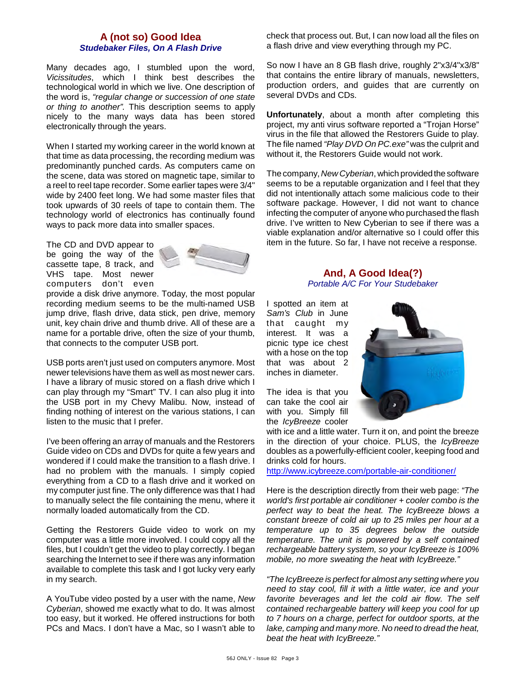### **A (not so) Good Idea** *Studebaker Files, On A Flash Drive*

Many decades ago, I stumbled upon the word, *Vicissitudes*, which I think best describes the technological world in which we live. One description of the word is, *"regular change or succession of one state or thing to another".* This description seems to apply nicely to the many ways data has been stored electronically through the years.

When I started my working career in the world known at that time as data processing, the recording medium was predominantly punched cards. As computers came on the scene, data was stored on magnetic tape, similar to a reel to reel tape recorder. Some earlier tapes were 3/4" wide by 2400 feet long. We had some master files that took upwards of 30 reels of tape to contain them. The technology world of electronics has continually found ways to pack more data into smaller spaces.

The CD and DVD appear to be going the way of the cassette tape, 8 track, and VHS tape. Most newer computers don't even



provide a disk drive anymore. Today, the most popular recording medium seems to be the multi-named USB jump drive, flash drive, data stick, pen drive, memory unit, key chain drive and thumb drive. All of these are a name for a portable drive, often the size of your thumb, that connects to the computer USB port.

USB ports aren't just used on computers anymore. Most newer televisions have them as well as most newer cars. I have a library of music stored on a flash drive which I can play through my "Smart" TV. I can also plug it into the USB port in my Chevy Malibu. Now, instead of finding nothing of interest on the various stations, I can listen to the music that I prefer.

I've been offering an array of manuals and the Restorers Guide video on CDs and DVDs for quite a few years and wondered if I could make the transition to a flash drive. I had no problem with the manuals. I simply copied everything from a CD to a flash drive and it worked on my computer just fine. The only difference was that I had to manually select the file containing the menu, where it normally loaded automatically from the CD.

Getting the Restorers Guide video to work on my computer was a little more involved. I could copy all the files, but I couldn't get the video to play correctly. I began searching the Internet to see if there was any information available to complete this task and I got lucky very early in my search.

A YouTube video posted by a user with the name, *New Cyberian*, showed me exactly what to do. It was almost too easy, but it worked. He offered instructions for both PCs and Macs. I don't have a Mac, so I wasn't able to

check that process out. But, I can now load all the files on a flash drive and view everything through my PC.

So now I have an 8 GB flash drive, roughly 2"x3/4"x3/8" that contains the entire library of manuals, newsletters, production orders, and guides that are currently on several DVDs and CDs.

**Unfortunately**, about a month after completing this project, my anti virus software reported a "Trojan Horse" virus in the file that allowed the Restorers Guide to play. The file named *"Play DVD On PC.exe"* was the culprit and without it, the Restorers Guide would not work.

The company, *New Cyberian*, which provided the software seems to be a reputable organization and I feel that they did not intentionally attach some malicious code to their software package. However, I did not want to chance infecting the computer of anyone who purchased the flash drive. I've written to New Cyberian to see if there was a viable explanation and/or alternative so I could offer this item in the future. So far, I have not receive a response.

### **And, A Good Idea(?)** *Portable A/C For Your Studebaker*

I spotted an item at *Sam's Club* in June that caught my interest. It was a picnic type ice chest with a hose on the top that was about 2 inches in diameter.

The idea is that you can take the cool air with you. Simply fill the *IcyBreeze* cooler



with ice and a little water. Turn it on, and point the breeze in the direction of your choice. PLUS, the *IcyBreeze* doubles as a powerfully-efficient cooler, keeping food and drinks cold for hours.

<http://www.icybreeze.com/portable-air-conditioner/>

Here is the description directly from their web page: *"The world's first portable air conditioner + cooler combo is the perfect way to beat the heat. The IcyBreeze blows a constant breeze of cold air up to 25 miles per hour at a temperature up to 35 degrees below the outside temperature. The unit is powered by a self contained rechargeable battery system, so your IcyBreeze is 100% mobile, no more sweating the heat with IcyBreeze."*

*"The IcyBreeze is perfect for almost any setting where you need to stay cool, fill it with a little water, ice and your favorite beverages and let the cold air flow. The self contained rechargeable battery will keep you cool for up to 7 hours on a charge, perfect for outdoor sports, at the lake, camping and many more. No need to dread the heat, beat the heat with IcyBreeze."*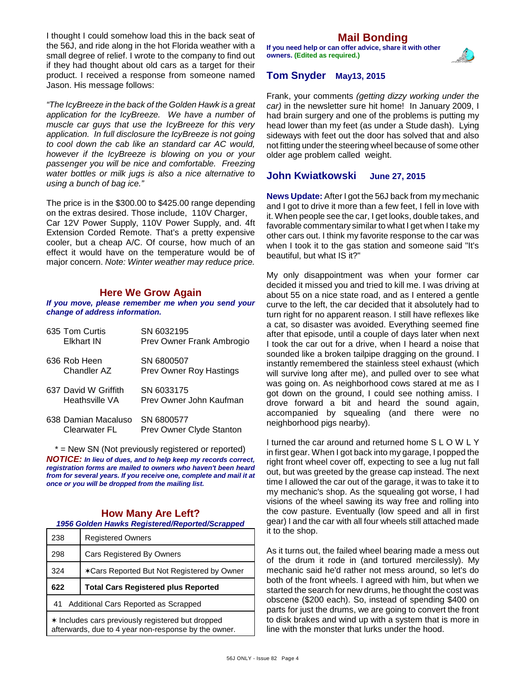I thought I could somehow load this in the back seat of the 56J, and ride along in the hot Florida weather with a small degree of relief. I wrote to the company to find out if they had thought about old cars as a target for their product. I received a response from someone named Jason. His message follows:

*"The IcyBreeze in the back of the Golden Hawk is a great application for the IcyBreeze. We have a number of muscle car guys that use the IcyBreeze for this very application. In full disclosure the IcyBreeze is not going to cool down the cab like an standard car AC would, however if the IcyBreeze is blowing on you or your passenger you will be nice and comfortable. Freezing water bottles or milk jugs is also a nice alternative to using a bunch of bag ice."*

The price is in the \$300.00 to \$425.00 range depending on the extras desired. Those include, 110V Charger, Car 12V Power Supply, 110V Power Supply, and. 4ft Extension Corded Remote. That's a pretty expensive cooler, but a cheap A/C. Of course, how much of an effect it would have on the temperature would be of major concern. *Note: Winter weather may reduce price.*

## **Here We Grow Again**

*If you move, please remember me when you send your change of address information.*

| 635 Tom Curtis<br>Elkhart IN           | SN 6032195<br>Prev Owner Frank Ambrogio      |
|----------------------------------------|----------------------------------------------|
| 636 Rob Heen<br>Chandler AZ            | SN 6800507<br><b>Prev Owner Roy Hastings</b> |
| 637 David W Griffith<br>Heathsville VA | SN 6033175<br>Prev Owner John Kaufman        |
| 638 Damian Macaluso<br>Clearwater FL   | SN 6800577<br>Prev Owner Clyde Stanton       |

\* = New SN (Not previously registered or reported) *NOTICE: In lieu of dues, and to help keep my records correct, registration forms are mailed to owners who haven't been heard from for several years. If you receive one, complete and mail it at once or you will be dropped from the mailing list.*

#### **How Many Are Left?** *1956 Golden Hawks Registered/Reported/Scrapped*

| 238 | <b>Registered Owners</b>                   |
|-----|--------------------------------------------|
| 298 | <b>Cars Registered By Owners</b>           |
| 324 | *Cars Reported But Not Registered by Owner |
|     |                                            |
| 622 | <b>Total Cars Registered plus Reported</b> |
|     | 41 Additional Cars Reported as Scrapped    |

## **Mail Bonding**

**If you need help or can offer advice, share it with other owners. (Edited as required.)**



## **Tom Snyder May13, 2015**

Frank, your comments *(getting dizzy working under the car)* in the newsletter sure hit home! In January 2009, I had brain surgery and one of the problems is putting my head lower than my feet (as under a Stude dash). Lying sideways with feet out the door has solved that and also not fitting under the steering wheel because of some other older age problem called weight.

## **John Kwiatkowski June 27, 2015**

**News Update:** After I got the 56J back from my mechanic and I got to drive it more than a few feet, I fell in love with it. When people see the car, I get looks, double takes, and favorable commentary similar to what I get when I take my other cars out. I think my favorite response to the car was when I took it to the gas station and someone said "It's beautiful, but what IS it?"

My only disappointment was when your former car decided it missed you and tried to kill me. I was driving at about 55 on a nice state road, and as I entered a gentle curve to the left, the car decided that it absolutely had to turn right for no apparent reason. I still have reflexes like a cat, so disaster was avoided. Everything seemed fine after that episode, until a couple of days later when next I took the car out for a drive, when I heard a noise that sounded like a broken tailpipe dragging on the ground. I instantly remembered the stainless steel exhaust (which will survive long after me), and pulled over to see what was going on. As neighborhood cows stared at me as I got down on the ground, I could see nothing amiss. I drove forward a bit and heard the sound again, accompanied by squealing (and there were no neighborhood pigs nearby).

I turned the car around and returned home S L O W L Y in first gear. When I got back into my garage, I popped the right front wheel cover off, expecting to see a lug nut fall out, but was greeted by the grease cap instead. The next time I allowed the car out of the garage, it was to take it to my mechanic's shop. As the squealing got worse, I had visions of the wheel sawing its way free and rolling into the cow pasture. Eventually (low speed and all in first gear) I and the car with all four wheels still attached made it to the shop.

As it turns out, the failed wheel bearing made a mess out of the drum it rode in (and tortured mercilessly). My mechanic said he'd rather not mess around, so let's do both of the front wheels. I agreed with him, but when we started the search for new drums, he thought the cost was obscene (\$200 each). So, instead of spending \$400 on parts for just the drums, we are going to convert the front to disk brakes and wind up with a system that is more in line with the monster that lurks under the hood.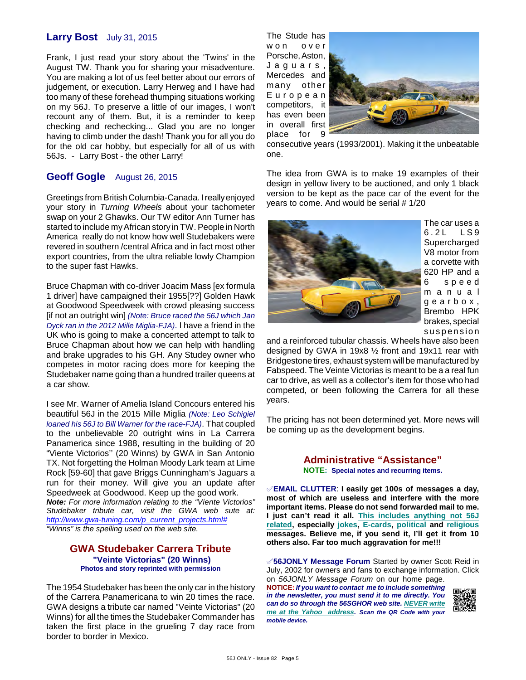## **Larry Bost** July 31, 2015

Frank, I just read your story about the 'Twins' in the August TW. Thank you for sharing your misadventure. You are making a lot of us feel better about our errors of judgement, or execution. Larry Herweg and I have had too many of these forehead thumping situations working on my 56J. To preserve a little of our images, I won't recount any of them. But, it is a reminder to keep checking and rechecking... Glad you are no longer having to climb under the dash! Thank you for all you do for the old car hobby, but especially for all of us with 56Js. - Larry Bost - the other Larry!

## **Geoff Gogle** August 26, 2015

Greetings from British Columbia-Canada. I really enjoyed your story in *Turning Wheels* about your tachometer swap on your 2 Ghawks. Our TW editor Ann Turner has started to include my African story in TW. People in North America really do not know how well Studebakers were revered in southern /central Africa and in fact most other export countries, from the ultra reliable lowly Champion to the super fast Hawks.

Bruce Chapman with co-driver Joacim Mass [ex formula 1 driver] have campaigned their 1955[??] Golden Hawk at Goodwood Speedweek with crowd pleasing success [if not an outright win] *(Note: Bruce raced the 56J which Jan Dyck ran in the 2012 Mille Miglia-FJA)*. I have a friend in the UK who is going to make a concerted attempt to talk to Bruce Chapman about how we can help with handling and brake upgrades to his GH. Any Studey owner who competes in motor racing does more for keeping the Studebaker name going than a hundred trailer queens at a car show.

I see Mr. Warner of Amelia Island Concours entered his beautiful 56J in the 2015 Mille Miglia *(Note: Leo Schigiel loaned his 56J to Bill Warner for the race-FJA)*. That coupled to the unbelievable 20 outright wins in La Carrera Panamerica since 1988, resulting in the building of 20 "Viente Victorios'' (20 Winns) by GWA in San Antonio TX. Not forgetting the Holman Moody Lark team at Lime Rock [59-60] that gave Briggs Cunningham's Jaguars a run for their money. Will give you an update after Speedweek at Goodwood. Keep up the good work. *Note: For more information relating to the "Viente Victorios" Studebaker tribute car, visit the GWA web sute at: [http://www.gwa-tuning.com/p\\_current\\_projects.html#](http://www.gwa-tuning.com/p_current_projects.html#) "Winns" is the spelling used on the web site.*

#### **GWA Studebaker Carrera Tribute "Veinte Victorias" (20 Winns) Photos and story reprinted with permission**

The 1954 Studebaker has been the only car in the history of the Carrera Panamericana to win 20 times the race. GWA designs a tribute car named "Veinte Victorias" (20 Winns) for all the times the Studebaker Commander has taken the first place in the grueling 7 day race from border to border in Mexico.

The Stude has w o n o v e r Porsche, Aston, J a g u a r s , Mercedes and many other E u r o p e a n competitors, it has even been in overall first place for 9



consecutive years (1993/2001). Making it the unbeatable one.

The idea from GWA is to make 19 examples of their design in yellow livery to be auctioned, and only 1 black version to be kept as the pace car of the event for the years to come. And would be serial # 1/20



The car uses a 6.2L LS9 **Supercharged** V8 motor from a corvette with 620 HP and a 6 s p e e d m a n u a l g e a r b o x , Brembo HPK brakes, special suspension

and a reinforced tubular chassis. Wheels have also been designed by GWA in 19x8 ½ front and 19x11 rear with Bridgestone tires, exhaust system will be manufactured by Fabspeed. The Veinte Victorias is meant to be a a real fun car to drive, as well as a collector's item for those who had competed, or been following the Carrera for all these years.

The pricing has not been determined yet. More news will be coming up as the development begins.

# **Administrative "Assistance"**

**NOTE: Special notes and recurring items.**

°**EMAIL CLUTTER**: **I easily get 100s of messages a day, most of which are useless and interfere with the more important items. Please do not send forwarded mail to me. I just can't read it all. This includes anything not 56J related, especially jokes, E-cards, political and religious messages. Believe me, if you send it, I'll get it from 10 others also. Far too much aggravation for me!!!**

°**56JONLY Message Forum** Started by owner Scott Reid in July, 2002 for owners and fans to exchange information. Click on *56JONLY Message Forum* on our home page.

**NOTICE:** *If you want to contact me to include something in the newsletter, you must send it to me directly. You can do so through the 56SGHOR web site. NEVER write me at the Yahoo address. Scan the QR Code with your mobile device.* 

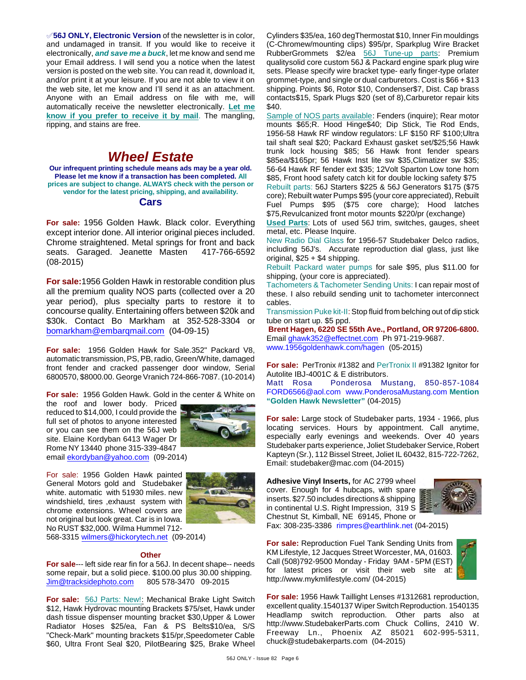°**56J ONLY, Electronic Version** of the newsletter is in color, and undamaged in transit. If you would like to receive it electronically, *and save me a buck*, let me know and send me your Email address. I will send you a notice when the latest version is posted on the web site. You can read it, download it, and/or print it at your leisure. If you are not able to view it on the web site, let me know and I'll send it as an attachment. Anyone with an Email address on file with me, will automatically receive the newsletter electronically. **Let me know if you prefer to receive it by mail**. The mangling, ripping, and stains are free.

## *Wheel Estate*

**Our infrequent printing schedule means ads may be a year old. Please let me know if a transaction has been completed. All prices are subject to change. ALWAYS check with the person or vendor for the latest pricing, shipping, and availability. Cars**

**For sale:** 1956 Golden Hawk. Black color. Everything except interior done. All interior original pieces included. Chrome straightened. Metal springs for front and back seats. Garaged. Jeanette Masten 417-766-6592 (08-2015)

**For sale:**1956 Golden Hawk in restorable condition plus all the premium quality NOS parts (collected over a 20 year period), plus specialty parts to restore it to concourse quality. Entertaining offers between \$20k and \$30k. Contact Bo Markham at 352-528-3304 or [bomarkham@embarqmail.com](mailto:bomarkham@embarqmail.com) (04-09-15)

**For sale:** 1956 Golden Hawk for Sale.352" Packard V8, automatic transmission, PS, PB, radio, Green/White, damaged front fender and cracked passenger door window, Serial 6800570, \$8000.00. George Vranich 724-866-7087. (10-2014)

**For sale:** 1956 Golden Hawk. Gold in the center & White on

the roof and lower body. Priced reduced to \$14,000, I could provide the full set of photos to anyone interested or you can see them on the 56J web site. Elaine Kordyban 6413 Wager Dr Rome NY 13440 phone 315-339-4847 email [ekordyban@yahoo.com](mailto:ekordyban@yahoo.com) (09-2014)



For sale: 1956 Golden Hawk painted General Motors gold and Studebaker white. automatic with 51930 miles. new windshield, tires ,exhaust system with chrome extensions. Wheel covers are not original but look great. Car is in Iowa.

No RUST \$32,000. Wilma Hummel 712-



568-3315 [wilmers@hickorytech.net](mailto:wilmers@hickorytech.net) (09-2014)

#### **Other**

**For sale**--- left side rear fin for a 56J. In decent shape-- needs some repair, but a solid piece. \$100.00 plus 30.00 shipping. [Jim@tracksidephoto.com](mailto:Jim@tracksidephoto.com) 805 578-3470 09-2015

**For sale:** 56J Parts: New!: Mechanical Brake Light Switch \$12, Hawk Hydrovac mounting Brackets \$75/set, Hawk under dash tissue dispenser mounting bracket \$30,Upper & Lower Radiator Hoses \$25/ea, Fan & PS Belts\$10/ea, S/S "Check-Mark" mounting brackets \$15/pr,Speedometer Cable \$60, Ultra Front Seal \$20, PilotBearing \$25, Brake Wheel Cylinders \$35/ea, 160 degThermostat \$10, Inner Fin mouldings (C-Chromew/mounting clips) \$95/pr, Sparkplug Wire Bracket RubberGrommets \$2/ea 56J Tune-up parts: Premium qualitysolid core custom 56J & Packard engine spark plug wire sets. Please specify wire bracket type- early finger-type orlater grommet-type, and single or dual carburetors. Cost is \$66 + \$13 shipping. Points \$6, Rotor \$10, Condenser\$7, Dist. Cap brass contacts\$15, Spark Plugs \$20 (set of 8),Carburetor repair kits \$40.

Sample of NOS parts available: Fenders (inquire); Rear motor mounts \$65;R. Hood Hinge\$40; Dip Stick, Tie Rod Ends, 1956-58 Hawk RF window regulators: LF \$150 RF \$100;Ultra tail shaft seal \$20; Packard Exhaust gasket set/\$25;56 Hawk trunk lock housing \$85; 56 Hawk front fender spears \$85ea/\$165pr; 56 Hawk Inst lite sw \$35,Climatizer sw \$35; 56-64 Hawk RF fender ext \$35; 12Volt Sparton Low tone horn \$85, Front hood safety catch kit for double locking safety \$75 Rebuilt parts: 56J Starters \$225 & 56J Generators \$175 (\$75 core); Rebuilt water Pumps \$95 (your core appreciated), Rebuilt Fuel Pumps \$95 (\$75 core charge); Hood latches \$75,Revulcanized front motor mounts \$220/pr (exchange)

**Used Parts**: Lots of used 56J trim, switches, gauges, sheet metal, etc. Please Inquire.

New Radio Dial Glass for 1956-57 Studebaker Delco radios, including 56J's. Accurate reproduction dial glass, just like original, \$25 + \$4 shipping.

Rebuilt Packard water pumps for sale \$95, plus \$11.00 for shipping, (your core is appreciated).

Tachometers & Tachometer Sending Units: I can repair most of these. I also rebuild sending unit to tachometer interconnect cables.

Transmission Puke kit-II: Stop fluid from belching out of dip stick tube on start up. \$5 ppd.

**Brent Hagen, 6220 SE 55th Ave., Portland, OR 97206-6800.** Email [ghawk352@effectnet.com](mailto:ghawk352@effectnet.com) Ph 971-219-9687. www.1956goldenhawk.com/hagen (05-2015)

**For sale:** PerTronix #1382 and PerTronix II #91382 Ignitor for Autolite IBJ-4001C & E distributors.

Matt Rosa Ponderosa Mustang, 850-857-1084 [FORD6566@aol.com](mailto:FORD6566@aol.com) [www.PonderosaMustang.com](http://www.PonderosaMustang.com) **Mention "Golden Hawk Newsletter"** (04-2015)

**For sale:** Large stock of Studebaker parts, 1934 - 1966, plus locating services. Hours by appointment. Call anytime, especially early evenings and weekends. Over 40 years Studebaker parts experience, Joliet Studebaker Service, Robert Kapteyn (Sr.), 112 Bissel Street, Joliet IL 60432, 815-722-7262, Email: studebaker@mac.com (04-2015)

**Adhesive Vinyl Inserts,** for AC 2799 wheel cover. Enough for 4 hubcaps, with spare inserts. \$27.50 includes directions & shipping in continental U.S. Right Impression, 319 S Chestnut St, Kimball, NE 69145, Phone or



Fax: 308-235-3386 [rimpres@earthlink.net](mailto:rimpres@earthlink.net) (04-2015)

**For sale:** Reproduction Fuel Tank Sending Units from KM Lifestyle, 12 Jacques Street Worcester, MA, 01603. Call (508)792-9500 Monday - Friday 9AM - 5PM (EST) for latest prices or visit their web site at: http://www.mykmlifestyle.com/ (04-2015)



**For sale:** 1956 Hawk Taillight Lenses #1312681 reproduction, excellent quality.1540137 Wiper Switch Reproduction. 1540135 Headlamp switch reproduction. Other parts also at http://www.StudebakerParts.com Chuck Collins, 2410 W. Freeway Ln., Phoenix AZ 85021 602-995-5311, chuck@studebakerparts.com (04-2015)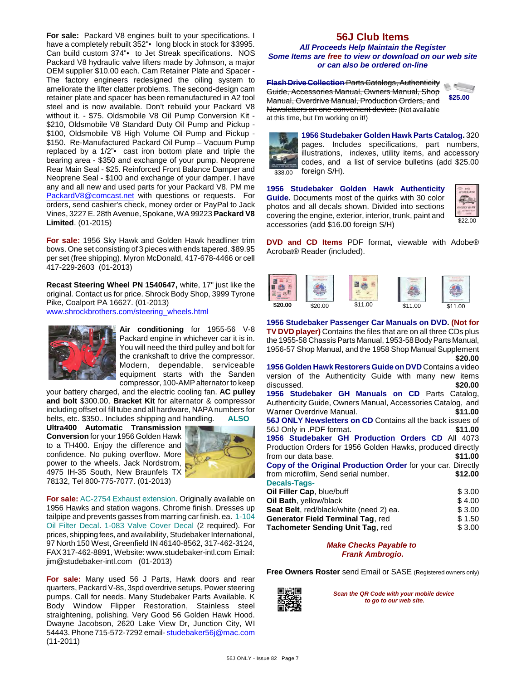**For sale:** Packard V8 engines built to your specifications. I have a completely rebuilt 352"• long block in stock for \$3995. Can build custom 374"• to Jet Streak specifications. NOS Packard V8 hydraulic valve lifters made by Johnson, a major OEM supplier \$10.00 each. Cam Retainer Plate and Spacer - The factory engineers redesigned the oiling system to ameliorate the lifter clatter problems. The second-design cam retainer plate and spacer has been remanufactured in A2 tool steel and is now available. Don't rebuild your Packard V8 without it. - \$75. Oldsmobile V8 Oil Pump Conversion Kit - \$210, Oldsmobile V8 Standard Duty Oil Pump and Pickup -\$100, Oldsmobile V8 High Volume Oil Pump and Pickup - \$150. Re-Manufactured Packard Oil Pump – Vacuum Pump replaced by a 1/2"• cast iron bottom plate and triple the bearing area - \$350 and exchange of your pump. Neoprene Rear Main Seal - \$25. Reinforced Front Balance Damper and Neoprene Seal - \$100 and exchange of your damper. I have any and all new and used parts for your Packard V8. PM me [PackardV8@comcast.net](mailto:PackardV8@comcast.net) with questions or requests. For orders, send cashier's check, money order or PayPal to Jack Vines, 3227 E. 28th Avenue, Spokane, WA 99223 **Packard V8 Limited**. (01-2015)

**For sale:** 1956 Sky Hawk and Golden Hawk headliner trim bows. One set consisting of 3 pieces with ends tapered. \$89.95 per set (free shipping). Myron McDonald, 417-678-4466 or cell 417-229-2603 (01-2013)

**Recast Steering Wheel PN 1540647,** white, 17" just like the original. Contact us for price. Shrock Body Shop, 3999 Tyrone Pike, Coalport PA 16627. (01-2013) [www.shrockbrothers.com/steering\\_wheels.html](http://www.shrockbrothers.com/steering_wheels.html)



**Air conditioning** for 1955-56 V-8 Packard engine in whichever car it is in. You will need the third pulley and bolt for the crankshaft to drive the compressor. Modern, dependable, serviceable equipment starts with the Sanden compressor, 100-AMP alternator to keep

your battery charged, and the electric cooling fan. **AC pulley and bolt** \$300.00, **Bracket Kit** for alternator & compressor including offset oil fill tube and all hardware, NAPA numbers for belts, etc. \$350.. Includes shipping and handling. **ALSO**

**Ultra400 Automatic Transmission Conversion** for your 1956 Golden Hawk to a TH400. Enjoy the difference and confidence. No puking overflow. More power to the wheels. Jack Nordstrom, 4975 IH-35 South, New Braunfels TX 78132, Tel 800-775-7077. (01-2013)



**For sale:** AC-2754 Exhaust extension. Originally available on 1956 Hawks and station wagons. Chrome finish. Dresses up tailpipe and prevents gasses from marring car finish. ea. 1-104 Oil Filter Decal. 1-083 Valve Cover Decal (2 required). For prices, shipping fees, and availability, Studebaker International, 97 North 150 West, Greenfield IN 46140-8562, 317-462-3124, FAX 317-462-8891, Website: www.studebaker-intl.com Email: jim@studebaker-intl.com (01-2013)

**For sale:** Many used 56 J Parts, Hawk doors and rear quarters, Packard V-8s, 3spd overdrive setups, Power steering pumps. Call for needs. Many Studebaker Parts Available. K Body Window Flipper Restoration, Stainless steel straightening, polishing. Very Good 56 Golden Hawk Hood. Dwayne Jacobson, 2620 Lake View Dr, Junction City, WI 54443. Phone 715-572-7292 email- [studebaker56j@mac.com](mailto:studebaker56j@mac.com) (11-2011)

## **56J Club Items**

*All Proceeds Help Maintain the Register Some Items are free to view or download on our web site or can also be ordered on-line*

**Flash Drive Collection** Parts Catalogs, Authenticity Guide, Accessories Manual, Owners Manual, Shop Manual, Overdrive Manual, Production Orders, and Newsletters on one convenient device. (Not available at this time, but I'm working on it!)



\$38.00

**1956 Studebaker Golden Hawk Parts Catalog.** 320 pages. Includes specifications, part numbers, illustrations, indexes, utility items, and accessory codes, and a list of service bulletins (add \$25.00 foreign S/H).

**1956 Studebaker Golden Hawk Authenticity Guide.** Documents most of the quirks with 30 color photos and all decals shown. Divided into sections covering the engine, exterior, interior, trunk, paint and accessories (add \$16.00 foreign S/H)



**DVD and CD Items** PDF format, viewable with Adobe® Acrobat® Reader (included).



**1956 Studebaker Passenger Car Manuals on DVD. (Not for TV DVD player)** Contains the files that are on all three CDs plus the 1955-58 Chassis Parts Manual, 1953-58 Body Parts Manual, 1956-57 Shop Manual, and the 1958 Shop Manual Supplement **\$20.00**

**1956 Golden Hawk Restorers Guide on DVD** Contains a video version of the Authenticity Guide with many new items discussed. **\$20.00 1956 Studebaker GH Manuals on CD** Parts Catalog, Authenticity Guide, Owners Manual, Accessories Catalog, and Warner Overdrive Manual. **\$11.00 56J ONLY Newsletters on CD** Contains all the back issues of 56J Only in .PDF format. **\$11.00 1956 Studebaker GH Production Orders CD** All 4073 Production Orders for 1956 Golden Hawks, produced directly from our data base. **\$11.00 Copy of the Original Production Order** for your car. Directly from microfilm, Send serial number. **\$12.00 Decals-Tags-Oil Filler Cap**, blue/buff  $$3.00$ **Oil Bath**, yellow/black  $$ 4.00$ **Seat Belt**, red/black/white (need 2) ea. \$ 3.00 **Generator Field Terminal Tag, red**  $$ 1.50$ 

#### *Make Checks Payable to Frank Ambrogio.*

**Tachometer Sending Unit Tag, red**  $$3.00$ 

**Free Owners Roster** send Email or SASE (Registered owners only)



*Scan the QR Code with your mobile device to go to our web site.*